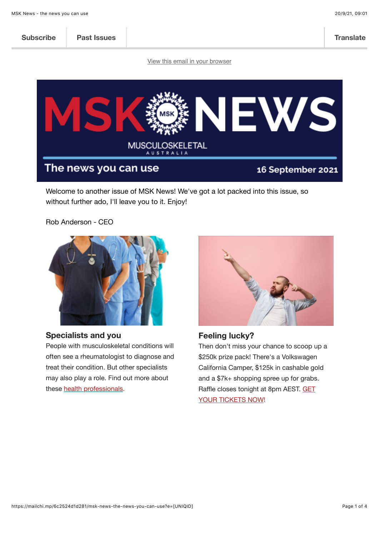

### **Specialists and you**

People with musculoskeletal conditions will often see a rheumatologist to diagnose and treat their condition. But other specialists may also play a role. Find out more about these [health professionals](https://www.msk.org.au/specialists-blog).

**Feeling lucky?**

Then don't miss your chance to scoop up a \$250k prize pack! There's a Volkswagen California Camper, \$125k in cashable gold and a \$7k+ shopping spree up for grabs. Raffl[e closes tonight at 8pm AEST. GET](https://playforpurpose.com.au/musculoskeletal-aust) YOUR TICKETS NOW!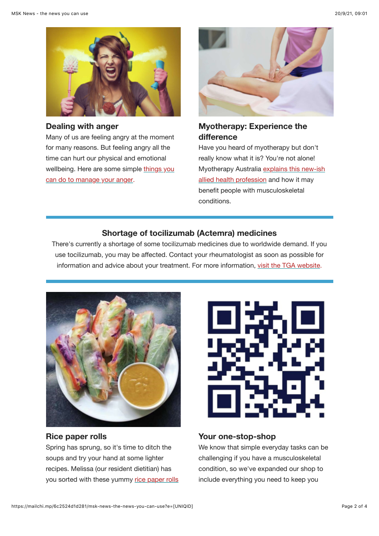

#### **Dealing with anger**

Many of us are feeling angry at the moment for many reasons. But feeling angry all the time can hurt our physical and emotional [wellbeing. Here are some simple things you](https://www.msk.org.au/managing-anger-blog) can do to manage your anger.



# **Myotherapy: Experience the difference**

Have you heard of myotherapy but don't really know what it is? You're not alone! [Myotherapy Australia explains this new-ish](https://www.msk.org.au/myotherapy-blog/) allied health profession and how it may benefit people with musculoskeletal conditions.

## **Shortage of tocilizumab (Actemra) medicines**

There's currently a shortage of some tocilizumab medicines due to worldwide demand. If you use tocilizumab, you may be affected. Contact your rheumatologist as soon as possible for information and advice about your treatment. For more information, [visit the TGA website](https://www.tga.gov.au/alert/shortages-tocilizumab-actemra-medicines).



## **Rice paper rolls**

Spring has sprung, so it's time to ditch the soups and try your hand at some lighter recipes. Melissa (our resident dietitian) has [you sorted with these yummy rice paper rolls](https://www.msk.org.au/recipes/)



### **Your one-stop-shop**

We know that simple everyday tasks can be challenging if you have a musculoskeletal condition, so we've expanded our shop to include everything you need to keep you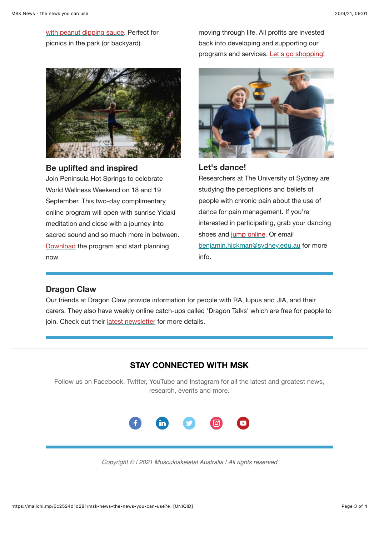[with peanut dipping sauce. Perfect for](https://www.msk.org.au/recipes/) picnics in the park (or backyard).



**Be uplifted and inspired**

Join Peninsula Hot Springs to celebrate World Wellness Weekend on 18 and 19 September. This two-day complimentary online program will open with sunrise Yidaki meditation and close with a journey into sacred sound and so much more in between. [Download](https://bit.ly/worldwellnessweekendprogram2021) the program and start planning now.

moving through life. All profits are invested back into developing and supporting our programs and services. [Let's go shopping!](https://shop.msk.org.au/)



**Let's dance!**

Researchers at The University of Sydney are studying the perceptions and beliefs of people with chronic pain about the use of dance for pain management. If you're interested in participating, grab your dancing shoes and [jump online.](https://sydney.au1.qualtrics.com/jfe/form/SV_cGBfgCe2HGWnhu5) Or email [benjamin.hickman@sydney.edu.au](mailto:benjamin.hickman@sydney.edu.au) for more info.

## **Dragon Claw**

Our friends at Dragon Claw provide information for people with RA, lupus and JIA, and their carers. They also have weekly online catch-ups called 'Dragon Talks' which are free for people to join. Check out their [latest newsletter](https://www.dragonclaw.net/newsletters/newsletter-september-2021) for more details.

# **STAY CONNECTED WITH MSK**

Follow us on Facebook, Twitter, YouTube and Instagram for all the latest and greatest news, research, events and more.



*Copyright © | 2021 Musculoskeletal Australia | All rights reserved*